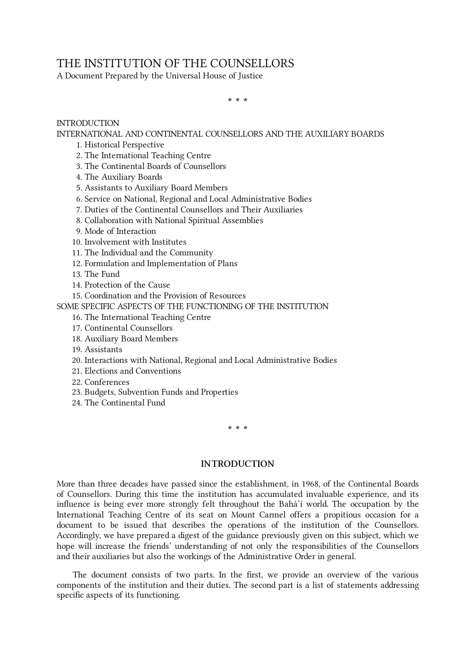# THE INSTITUTION OF THE COUNSELLORS

A Document Prepared by the Universal House of Justice

\* \* \*

# [INTRODUCTION](#page-0-0)

[INTERNATIONAL](#page-3-0) AND CONTINENTAL COUNSELLORS AND THE AUXILIARY BOARDS

- 1. Historical [Perspective](#page-3-1)
- 2. The [International](#page-4-0) Teaching Centre
- 3. The [Continental](#page-4-1) Boards of Counsellors
- 4. The [Auxiliary](#page-5-0) Boards
- 5. [Assistants](#page-6-0) to Auxiliary Board Members
- 6. Service on National, Regional and Local [Administrative](#page-6-1) Bodies
- 7. Duties of the [Continental](#page-7-0) Counsellors and Their Auxiliaries
- 8. [Collaboration](#page-8-0) with National Spiritual Assemblies
- 9. Mode of [Interaction](#page-9-0)
- 10. [Involvement](#page-10-0) with Institutes
- 11. The Individual and the [Community](#page-10-1)
- 12. Formulation and [Implementation](#page-12-0) of Plans
- 13. The [Fund](#page-13-0)
- 14. [Protection](#page-13-0) of the Cause
- 15. [Coordination](#page-15-0) and the Provision of Resources
- SOME SPECIFIC ASPECTS OF THE [FUNCTIONING](#page-16-0) OF THE INSTITUTION
	- 16. The [International](#page-16-1) Teaching Centre
	- 17. [Continental](#page-16-2) Counsellors
	- 18. [Auxiliary](#page-18-0) Board Members
	- 19. [Assistants](#page-19-0)
	- 20. Interactions with National, Regional and Local [Administrative](#page-19-1) Bodies
	- 21. Elections and [Conventions](#page-22-0)
	- 22. [Conferences](#page-23-0)
	- 23. Budgets, [Subvention](#page-23-1) Funds and Properties
	- 24. The [Continental](#page-24-0) Fund

### \* \* \*

# <span id="page-0-0"></span>INTRODUCTION

More than three decades have passed since the establishment, in 1968, of the Continental Boards of Counsellors. During this time the institution has accumulated invaluable experience, and its influence is being ever more strongly felt throughout the Bahá'í world. The occupation by the International Teaching Centre of its seat on Mount Carmel offers a propitious occasion for a document to be issued that describes the operations of the institution of the Counsellors. Accordingly, we have prepared a digest of the guidance previously given on this subject, which we hope will increase the friends' understanding of not only the responsibilities of the Counsellors and their auxiliaries but also the workings of the Administrative Order in general.

The document consists of two parts. In the first, we provide an overview of the various components of the institution and their duties. The second part is a list of statements addressing specific aspects of its functioning.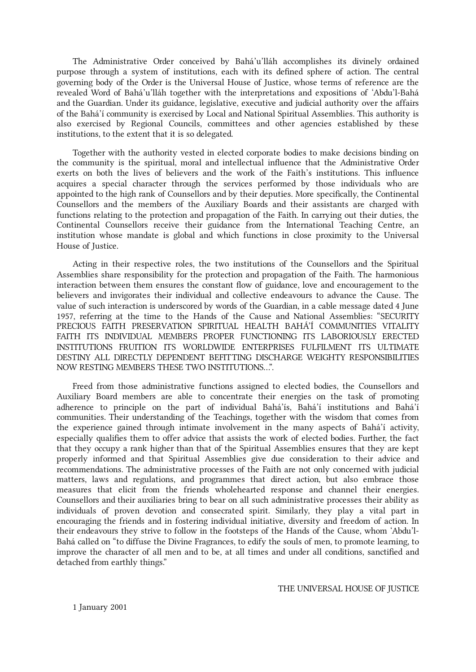The Administrative Order conceived by Bahá'u'lláh accomplishes its divinely ordained purpose through a system of institutions, each with its defined sphere of action. The central governing body of the Order is the Universal House of Justice, whose terms of reference are the revealed Word of Bahá'u'lláh together with the interpretations and expositions of 'Abdu'l-Bahá and the Guardian. Under its guidance, legislative, executive and judicial authority over the affairs of the Bahá'í community is exercised by Local and National Spiritual Assemblies. This authority is also exercised by Regional Councils, committees and other agencies established by these institutions, to the extent that it is so delegated.

Together with the authority vested in elected corporate bodies to make decisions binding on the community is the spiritual, moral and intellectual influence that the Administrative Order exerts on both the lives of believers and the work of the Faith's institutions. This influence acquires a special character through the services performed by those individuals who are appointed to the high rank of Counsellors and by their deputies. More specifically, the Continental Counsellors and the members of the Auxiliary Boards and their assistants are charged with functions relating to the protection and propagation of the Faith. In carrying out their duties, the Continental Counsellors receive their guidance from the International Teaching Centre, an institution whose mandate is global and which functions in close proximity to the Universal House of Justice.

Acting in their respective roles, the two institutions of the Counsellors and the Spiritual Assemblies share responsibility for the protection and propagation of the Faith. The harmonious interaction between them ensures the constant flow of guidance, love and encouragement to the believers and invigorates their individual and collective endeavours to advance the Cause. The value of such interaction is underscored by words of the Guardian, in a cable message dated 4 June 1957, referring at the time to the Hands of the Cause and National Assemblies: "SECURITY PRECIOUS FAITH PRESERVATION SPIRITUAL HEALTH BAHÁ'Í COMMUNITIES VITALITY FAITH ITS INDIVIDUAL MEMBERS PROPER FUNCTIONING ITS LABORIOUSLY ERECTED INSTITUTIONS FRUITION ITS WORLDWIDE ENTERPRISES FULFILMENT ITS ULTIMATE DESTINY ALL DIRECTLY DEPENDENT BEFITTING DISCHARGE WEIGHTY RESPONSIBILITIES NOW RESTING MEMBERS THESE TWO INSTITUTIONS…".

Freed from those administrative functions assigned to elected bodies, the Counsellors and Auxiliary Board members are able to concentrate their energies on the task of promoting adherence to principle on the part of individual Bahá'ís, Bahá'í institutions and Bahá'í communities. Their understanding of the Teachings, together with the wisdom that comes from the experience gained through intimate involvement in the many aspects of Bahá'í activity, especially qualifies them to offer advice that assists the work of elected bodies. Further, the fact that they occupy a rank higher than that of the Spiritual Assemblies ensures that they are kept properly informed and that Spiritual Assemblies give due consideration to their advice and recommendations. The administrative processes of the Faith are not only concerned with judicial matters, laws and regulations, and programmes that direct action, but also embrace those measures that elicit from the friends wholehearted response and channel their energies. Counsellors and their auxiliaries bring to bear on all such administrative processes their ability as individuals of proven devotion and consecrated spirit. Similarly, they play a vital part in encouraging the friends and in fostering individual initiative, diversity and freedom of action. In their endeavours they strive to follow in the footsteps of the Hands of the Cause, whom 'Abdu'l-Bahá called on "to diffuse the Divine Fragrances, to edify the souls of men, to promote learning, to improve the character of all men and to be, at all times and under all conditions, sanctified and detached from earthly things."

THE UNIVERSAL HOUSE OF JUSTICE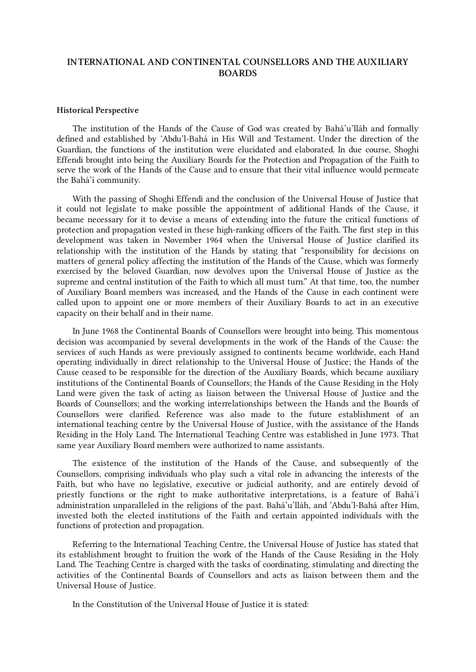# <span id="page-3-0"></span>INTERNATIONAL AND CONTINENTAL COUNSELLORS AND THE AUXILIARY BOARDS

#### <span id="page-3-1"></span>Historical Perspective

The institution of the Hands of the Cause of God was created by Bahá'u'lláh and formally defined and established by 'Abdu'l-Bahá in His Will and Testament. Under the direction of the Guardian, the functions of the institution were elucidated and elaborated. In due course, Shoghi Effendi brought into being the Auxiliary Boards for the Protection and Propagation of the Faith to serve the work of the Hands of the Cause and to ensure that their vital influence would permeate the Bahá'í community.

With the passing of Shoghi Effendi and the conclusion of the Universal House of Justice that it could not legislate to make possible the appointment of additional Hands of the Cause, it became necessary for it to devise a means of extending into the future the critical functions of protection and propagation vested in these high-ranking officers of the Faith. The first step in this development was taken in November 1964 when the Universal House of Justice clarified its relationship with the institution of the Hands by stating that "responsibility for decisions on matters of general policy affecting the institution of the Hands of the Cause, which was formerly exercised by the beloved Guardian, now devolves upon the Universal House of Justice as the supreme and central institution of the Faith to which all must turn." At that time, too, the number of Auxiliary Board members was increased, and the Hands of the Cause in each continent were called upon to appoint one or more members of their Auxiliary Boards to act in an executive capacity on their behalf and in their name.

In June 1968 the Continental Boards of Counsellors were brought into being. This momentous decision was accompanied by several developments in the work of the Hands of the Cause: the services of such Hands as were previously assigned to continents became worldwide, each Hand operating individually in direct relationship to the Universal House of Justice; the Hands of the Cause ceased to be responsible for the direction of the Auxiliary Boards, which became auxiliary institutions of the Continental Boards of Counsellors; the Hands of the Cause Residing in the Holy Land were given the task of acting as liaison between the Universal House of Justice and the Boards of Counsellors; and the working interrelationships between the Hands and the Boards of Counsellors were clarified. Reference was also made to the future establishment of an international teaching centre by the Universal House of Justice, with the assistance of the Hands Residing in the Holy Land. The International Teaching Centre was established in June 1973. That same year Auxiliary Board members were authorized to name assistants.

The existence of the institution of the Hands of the Cause, and subsequently of the Counsellors, comprising individuals who play such a vital role in advancing the interests of the Faith, but who have no legislative, executive or judicial authority, and are entirely devoid of priestly functions or the right to make authoritative interpretations, is a feature of Bahá'í administration unparalleled in the religions of the past. Bahá'u'lláh, and 'Abdu'l-Bahá after Him, invested both the elected institutions of the Faith and certain appointed individuals with the functions of protection and propagation.

Referring to the International Teaching Centre, the Universal House of Justice has stated that its establishment brought to fruition the work of the Hands of the Cause Residing in the Holy Land. The Teaching Centre is charged with the tasks of coordinating, stimulating and directing the activities of the Continental Boards of Counsellors and acts as liaison between them and the Universal House of Justice.

In the Constitution of the Universal House of Justice it is stated: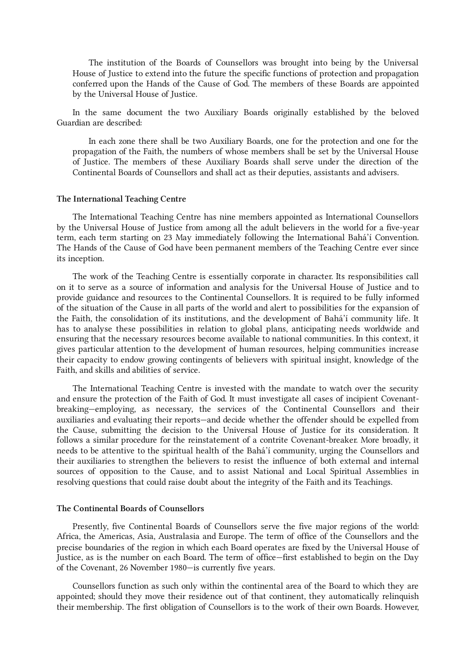The institution of the Boards of Counsellors was brought into being by the Universal House of Justice to extend into the future the specific functions of protection and propagation conferred upon the Hands of the Cause of God. The members of these Boards are appointed by the Universal House of Justice.

In the same document the two Auxiliary Boards originally established by the beloved Guardian are described:

In each zone there shall be two Auxiliary Boards, one for the protection and one for the propagation of the Faith, the numbers of whose members shall be set by the Universal House of Justice. The members of these Auxiliary Boards shall serve under the direction of the Continental Boards of Counsellors and shall act as their deputies, assistants and advisers.

#### <span id="page-4-0"></span>The International Teaching Centre

The International Teaching Centre has nine members appointed as International Counsellors by the Universal House of Justice from among all the adult believers in the world for a five-year term, each term starting on 23 May immediately following the International Bahá'í Convention. The Hands of the Cause of God have been permanent members of the Teaching Centre ever since its inception.

The work of the Teaching Centre is essentially corporate in character. Its responsibilities call on it to serve as a source of information and analysis for the Universal House of Justice and to provide guidance and resources to the Continental Counsellors. It is required to be fully informed of the situation of the Cause in all parts of the world and alert to possibilities for the expansion of the Faith, the consolidation of its institutions, and the development of Bahá'í community life. It has to analyse these possibilities in relation to global plans, anticipating needs worldwide and ensuring that the necessary resources become available to national communities. In this context, it gives particular attention to the development of human resources, helping communities increase their capacity to endow growing contingents of believers with spiritual insight, knowledge of the Faith, and skills and abilities of service.

The International Teaching Centre is invested with the mandate to watch over the security and ensure the protection of the Faith of God. It must investigate all cases of incipient Covenantbreaking—employing, as necessary, the services of the Continental Counsellors and their auxiliaries and evaluating their reports—and decide whether the offender should be expelled from the Cause, submitting the decision to the Universal House of Justice for its consideration. It follows a similar procedure for the reinstatement of a contrite Covenant-breaker. More broadly, it needs to be attentive to the spiritual health of the Bahá'í community, urging the Counsellors and their auxiliaries to strengthen the believers to resist the influence of both external and internal sources of opposition to the Cause, and to assist National and Local Spiritual Assemblies in resolving questions that could raise doubt about the integrity of the Faith and its Teachings.

#### <span id="page-4-1"></span>The Continental Boards of Counsellors

Presently, five Continental Boards of Counsellors serve the five major regions of the world: Africa, the Americas, Asia, Australasia and Europe. The term of office of the Counsellors and the precise boundaries of the region in which each Board operates are fixed by the Universal House of Justice, as is the number on each Board. The term of office—first established to begin on the Day of the Covenant, 26 November 1980—is currently five years.

Counsellors function as such only within the continental area of the Board to which they are appointed; should they move their residence out of that continent, they automatically relinquish their membership. The first obligation of Counsellors is to the work of their own Boards. However,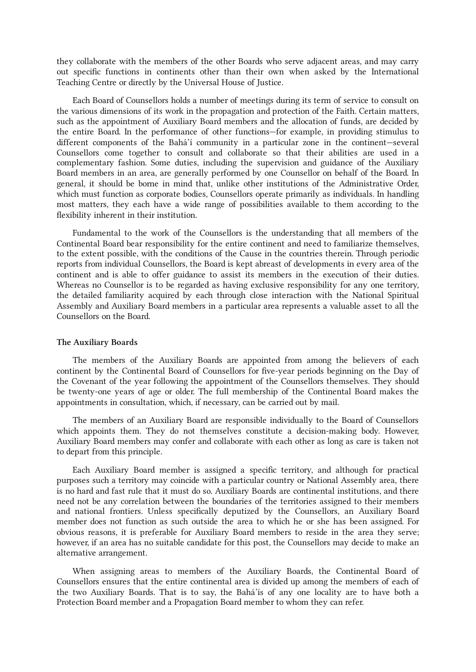they collaborate with the members of the other Boards who serve adjacent areas, and may carry out specific functions in continents other than their own when asked by the International Teaching Centre or directly by the Universal House of Justice.

Each Board of Counsellors holds a number of meetings during its term of service to consult on the various dimensions of its work in the propagation and protection of the Faith. Certain matters, such as the appointment of Auxiliary Board members and the allocation of funds, are decided by the entire Board. In the performance of other functions—for example, in providing stimulus to different components of the Bahá'í community in a particular zone in the continent—several Counsellors come together to consult and collaborate so that their abilities are used in a complementary fashion. Some duties, including the supervision and guidance of the Auxiliary Board members in an area, are generally performed by one Counsellor on behalf of the Board. In general, it should be borne in mind that, unlike other institutions of the Administrative Order, which must function as corporate bodies, Counsellors operate primarily as individuals. In handling most matters, they each have a wide range of possibilities available to them according to the flexibility inherent in their institution.

Fundamental to the work of the Counsellors is the understanding that all members of the Continental Board bear responsibility for the entire continent and need to familiarize themselves, to the extent possible, with the conditions of the Cause in the countries therein. Through periodic reports from individual Counsellors, the Board is kept abreast of developments in every area of the continent and is able to offer guidance to assist its members in the execution of their duties. Whereas no Counsellor is to be regarded as having exclusive responsibility for any one territory, the detailed familiarity acquired by each through close interaction with the National Spiritual Assembly and Auxiliary Board members in a particular area represents a valuable asset to all the Counsellors on the Board.

### <span id="page-5-0"></span>The Auxiliary Boards

The members of the Auxiliary Boards are appointed from among the believers of each continent by the Continental Board of Counsellors for five-year periods beginning on the Day of the Covenant of the year following the appointment of the Counsellors themselves. They should be twenty-one years of age or older. The full membership of the Continental Board makes the appointments in consultation, which, if necessary, can be carried out by mail.

The members of an Auxiliary Board are responsible individually to the Board of Counsellors which appoints them. They do not themselves constitute a decision-making body. However, Auxiliary Board members may confer and collaborate with each other as long as care is taken not to depart from this principle.

Each Auxiliary Board member is assigned a specific territory, and although for practical purposes such a territory may coincide with a particular country or National Assembly area, there is no hard and fast rule that it must do so. Auxiliary Boards are continental institutions, and there need not be any correlation between the boundaries of the territories assigned to their members and national frontiers. Unless specifically deputized by the Counsellors, an Auxiliary Board member does not function as such outside the area to which he or she has been assigned. For obvious reasons, it is preferable for Auxiliary Board members to reside in the area they serve; however, if an area has no suitable candidate for this post, the Counsellors may decide to make an alternative arrangement.

When assigning areas to members of the Auxiliary Boards, the Continental Board of Counsellors ensures that the entire continental area is divided up among the members of each of the two Auxiliary Boards. That is to say, the Bahá'ís of any one locality are to have both a Protection Board member and a Propagation Board member to whom they can refer.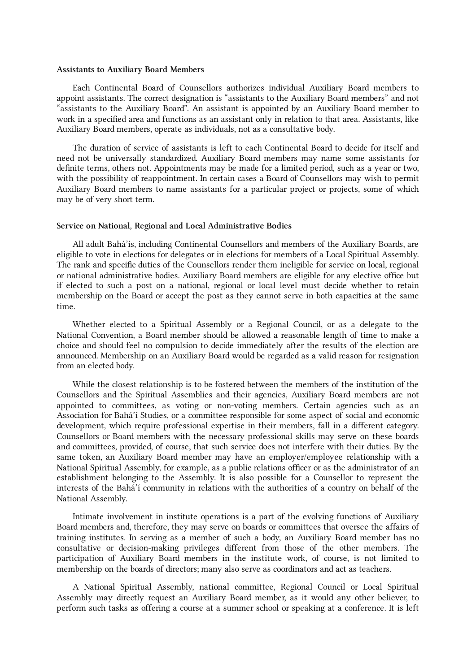#### <span id="page-6-0"></span>Assistants to Auxiliary Board Members

Each Continental Board of Counsellors authorizes individual Auxiliary Board members to appoint assistants. The correct designation is "assistants to the Auxiliary Board members" and not "assistants to the Auxiliary Board". An assistant is appointed by an Auxiliary Board member to work in a specified area and functions as an assistant only in relation to that area. Assistants, like Auxiliary Board members, operate as individuals, not as a consultative body.

The duration of service of assistants is left to each Continental Board to decide for itself and need not be universally standardized. Auxiliary Board members may name some assistants for definite terms, others not. Appointments may be made for a limited period, such as a year or two, with the possibility of reappointment. In certain cases a Board of Counsellors may wish to permit Auxiliary Board members to name assistants for a particular project or projects, some of which may be of very short term.

#### <span id="page-6-1"></span>Service on National, Regional and Local Administrative Bodies

All adult Bahá'ís, including Continental Counsellors and members of the Auxiliary Boards, are eligible to vote in elections for delegates or in elections for members of a Local Spiritual Assembly. The rank and specific duties of the Counsellors render them ineligible for service on local, regional or national administrative bodies. Auxiliary Board members are eligible for any elective office but if elected to such a post on a national, regional or local level must decide whether to retain membership on the Board or accept the post as they cannot serve in both capacities at the same time.

Whether elected to a Spiritual Assembly or a Regional Council, or as a delegate to the National Convention, a Board member should be allowed a reasonable length of time to make a choice and should feel no compulsion to decide immediately after the results of the election are announced. Membership on an Auxiliary Board would be regarded as a valid reason for resignation from an elected body.

While the closest relationship is to be fostered between the members of the institution of the Counsellors and the Spiritual Assemblies and their agencies, Auxiliary Board members are not appointed to committees, as voting or non-voting members. Certain agencies such as an Association for Bahá'í Studies, or a committee responsible for some aspect of social and economic development, which require professional expertise in their members, fall in a different category. Counsellors or Board members with the necessary professional skills may serve on these boards and committees, provided, of course, that such service does not interfere with their duties. By the same token, an Auxiliary Board member may have an employer/employee relationship with a National Spiritual Assembly, for example, as a public relations officer or as the administrator of an establishment belonging to the Assembly. It is also possible for a Counsellor to represent the interests of the Bahá'í community in relations with the authorities of a country on behalf of the National Assembly.

Intimate involvement in institute operations is a part of the evolving functions of Auxiliary Board members and, therefore, they may serve on boards or committees that oversee the affairs of training institutes. In serving as a member of such a body, an Auxiliary Board member has no consultative or decision-making privileges different from those of the other members. The participation of Auxiliary Board members in the institute work, of course, is not limited to membership on the boards of directors; many also serve as coordinators and act as teachers.

A National Spiritual Assembly, national committee, Regional Council or Local Spiritual Assembly may directly request an Auxiliary Board member, as it would any other believer, to perform such tasks as offering a course at a summer school or speaking at a conference. It is left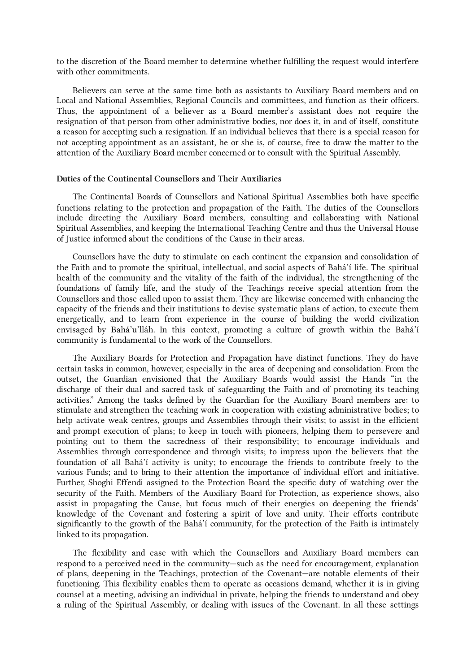to the discretion of the Board member to determine whether fulfilling the request would interfere with other commitments.

Believers can serve at the same time both as assistants to Auxiliary Board members and on Local and National Assemblies, Regional Councils and committees, and function as their officers. Thus, the appointment of a believer as a Board member's assistant does not require the resignation of that person from other administrative bodies, nor does it, in and of itself, constitute a reason for accepting such a resignation. If an individual believes that there is a special reason for not accepting appointment as an assistant, he or she is, of course, free to draw the matter to the attention of the Auxiliary Board member concerned or to consult with the Spiritual Assembly.

### <span id="page-7-0"></span>Duties of the Continental Counsellors and Their Auxiliaries

The Continental Boards of Counsellors and National Spiritual Assemblies both have specific functions relating to the protection and propagation of the Faith. The duties of the Counsellors include directing the Auxiliary Board members, consulting and collaborating with National Spiritual Assemblies, and keeping the International Teaching Centre and thus the Universal House of Justice informed about the conditions of the Cause in their areas.

Counsellors have the duty to stimulate on each continent the expansion and consolidation of the Faith and to promote the spiritual, intellectual, and social aspects of Bahá'í life. The spiritual health of the community and the vitality of the faith of the individual, the strengthening of the foundations of family life, and the study of the Teachings receive special attention from the Counsellors and those called upon to assist them. They are likewise concerned with enhancing the capacity of the friends and their institutions to devise systematic plans of action, to execute them energetically, and to learn from experience in the course of building the world civilization envisaged by Bahá'u'lláh. In this context, promoting a culture of growth within the Bahá'í community is fundamental to the work of the Counsellors.

The Auxiliary Boards for Protection and Propagation have distinct functions. They do have certain tasks in common, however, especially in the area of deepening and consolidation. From the outset, the Guardian envisioned that the Auxiliary Boards would assist the Hands "in the discharge of their dual and sacred task of safeguarding the Faith and of promoting its teaching activities." Among the tasks defined by the Guardian for the Auxiliary Board members are: to stimulate and strengthen the teaching work in cooperation with existing administrative bodies; to help activate weak centres, groups and Assemblies through their visits; to assist in the efficient and prompt execution of plans; to keep in touch with pioneers, helping them to persevere and pointing out to them the sacredness of their responsibility; to encourage individuals and Assemblies through correspondence and through visits; to impress upon the believers that the foundation of all Bahá'í activity is unity; to encourage the friends to contribute freely to the various Funds; and to bring to their attention the importance of individual effort and initiative. Further, Shoghi Effendi assigned to the Protection Board the specific duty of watching over the security of the Faith. Members of the Auxiliary Board for Protection, as experience shows, also assist in propagating the Cause, but focus much of their energies on deepening the friends' knowledge of the Covenant and fostering a spirit of love and unity. Their efforts contribute significantly to the growth of the Bahá'í community, for the protection of the Faith is intimately linked to its propagation.

The flexibility and ease with which the Counsellors and Auxiliary Board members can respond to a perceived need in the community—such as the need for encouragement, explanation of plans, deepening in the Teachings, protection of the Covenant—are notable elements of their functioning. This flexibility enables them to operate as occasions demand, whether it is in giving counsel at a meeting, advising an individual in private, helping the friends to understand and obey a ruling of the Spiritual Assembly, or dealing with issues of the Covenant. In all these settings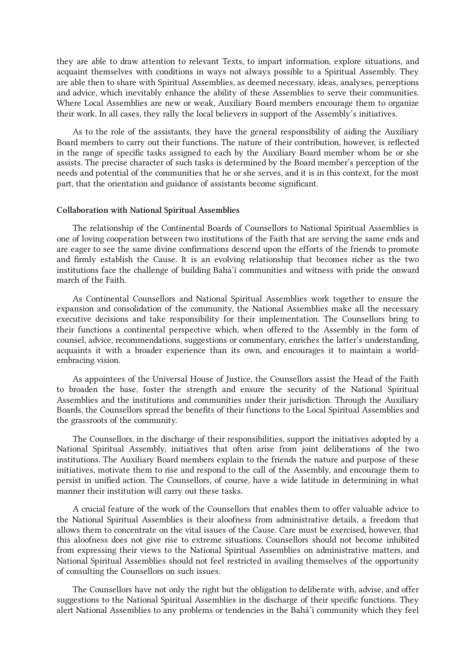they are able to draw attention to relevant Texts, to impart information, explore situations, and acquaint themselves with conditions in ways not always possible to a Spiritual Assembly. They are able then to share with Spiritual Assemblies, as deemed necessary, ideas, analyses, perceptions and advice, which inevitably enhance the ability of these Assemblies to serve their communities. Where Local Assemblies are new or weak, Auxiliary Board members encourage them to organize their work. In all cases, they rally the local believers in support of the Assembly's initiatives.

As to the role of the assistants, they have the general responsibility of aiding the Auxiliary Board members to carry out their functions. The nature of their contribution, however, is reflected in the range of specific tasks assigned to each by the Auxiliary Board member whom he or she assists. The precise character of such tasks is determined by the Board member's perception of the needs and potential of the communities that he or she serves, and it is in this context, for the most part, that the orientation and guidance of assistants become significant.

#### <span id="page-8-0"></span>Collaboration with National Spiritual Assemblies

The relationship of the Continental Boards of Counsellors to National Spiritual Assemblies is one of loving cooperation between two institutions of the Faith that are serving the same ends and are eager to see the same divine confirmations descend upon the efforts of the friends to promote and firmly establish the Cause. It is an evolving relationship that becomes richer as the two institutions face the challenge of building Bahá'í communities and witness with pride the onward march of the Faith.

As Continental Counsellors and National Spiritual Assemblies work together to ensure the expansion and consolidation of the community, the National Assemblies make all the necessary executive decisions and take responsibility for their implementation. The Counsellors bring to their functions a continental perspective which, when offered to the Assembly in the form of counsel, advice, recommendations, suggestions or commentary, enriches the latter's understanding, acquaints it with a broader experience than its own, and encourages it to maintain a worldembracing vision.

As appointees of the Universal House of Justice, the Counsellors assist the Head of the Faith to broaden the base, foster the strength and ensure the security of the National Spiritual Assemblies and the institutions and communities under their jurisdiction. Through the Auxiliary Boards, the Counsellors spread the benefits of their functions to the Local Spiritual Assemblies and the grassroots of the community.

The Counsellors, in the discharge of their responsibilities, support the initiatives adopted by a National Spiritual Assembly, initiatives that often arise from joint deliberations of the two institutions. The Auxiliary Board members explain to the friends the nature and purpose of these initiatives, motivate them to rise and respond to the call of the Assembly, and encourage them to persist in unified action. The Counsellors, of course, have a wide latitude in determining in what manner their institution will carry out these tasks.

A crucial feature of the work of the Counsellors that enables them to offer valuable advice to the National Spiritual Assemblies is their aloofness from administrative details, a freedom that allows them to concentrate on the vital issues of the Cause. Care must be exercised, however, that this aloofness does not give rise to extreme situations. Counsellors should not become inhibited from expressing their views to the National Spiritual Assemblies on administrative matters, and National Spiritual Assemblies should not feel restricted in availing themselves of the opportunity of consulting the Counsellors on such issues.

The Counsellors have not only the right but the obligation to deliberate with, advise, and offer suggestions to the National Spiritual Assemblies in the discharge of their specific functions. They alert National Assemblies to any problems or tendencies in the Bahá'í community which they feel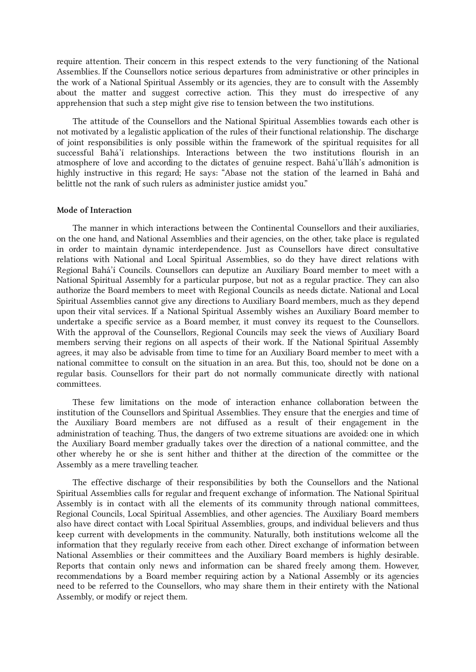require attention. Their concern in this respect extends to the very functioning of the National Assemblies. If the Counsellors notice serious departures from administrative or other principles in the work of a National Spiritual Assembly or its agencies, they are to consult with the Assembly about the matter and suggest corrective action. This they must do irrespective of any apprehension that such a step might give rise to tension between the two institutions.

The attitude of the Counsellors and the National Spiritual Assemblies towards each other is not motivated by a legalistic application of the rules of their functional relationship. The discharge of joint responsibilities is only possible within the framework of the spiritual requisites for all successful Bahá'í relationships. Interactions between the two institutions flourish in an atmosphere of love and according to the dictates of genuine respect. Bahá'u'lláh's admonition is highly instructive in this regard; He says: "Abase not the station of the learned in Bahá and belittle not the rank of such rulers as administer justice amidst you."

#### <span id="page-9-0"></span>Mode of Interaction

The manner in which interactions between the Continental Counsellors and their auxiliaries, on the one hand, and National Assemblies and their agencies, on the other, take place is regulated in order to maintain dynamic interdependence. Just as Counsellors have direct consultative relations with National and Local Spiritual Assemblies, so do they have direct relations with Regional Bahá'í Councils. Counsellors can deputize an Auxiliary Board member to meet with a National Spiritual Assembly for a particular purpose, but not as a regular practice. They can also authorize the Board members to meet with Regional Councils as needs dictate. National and Local Spiritual Assemblies cannot give any directions to Auxiliary Board members, much as they depend upon their vital services. If a National Spiritual Assembly wishes an Auxiliary Board member to undertake a specific service as a Board member, it must convey its request to the Counsellors. With the approval of the Counsellors, Regional Councils may seek the views of Auxiliary Board members serving their regions on all aspects of their work. If the National Spiritual Assembly agrees, it may also be advisable from time to time for an Auxiliary Board member to meet with a national committee to consult on the situation in an area. But this, too, should not be done on a regular basis. Counsellors for their part do not normally communicate directly with national committees.

These few limitations on the mode of interaction enhance collaboration between the institution of the Counsellors and Spiritual Assemblies. They ensure that the energies and time of the Auxiliary Board members are not diffused as a result of their engagement in the administration of teaching. Thus, the dangers of two extreme situations are avoided: one in which the Auxiliary Board member gradually takes over the direction of a national committee, and the other whereby he or she is sent hither and thither at the direction of the committee or the Assembly as a mere travelling teacher.

The effective discharge of their responsibilities by both the Counsellors and the National Spiritual Assemblies calls for regular and frequent exchange of information. The National Spiritual Assembly is in contact with all the elements of its community through national committees, Regional Councils, Local Spiritual Assemblies, and other agencies. The Auxiliary Board members also have direct contact with Local Spiritual Assemblies, groups, and individual believers and thus keep current with developments in the community. Naturally, both institutions welcome all the information that they regularly receive from each other. Direct exchange of information between National Assemblies or their committees and the Auxiliary Board members is highly desirable. Reports that contain only news and information can be shared freely among them. However, recommendations by a Board member requiring action by a National Assembly or its agencies need to be referred to the Counsellors, who may share them in their entirety with the National Assembly, or modify or reject them.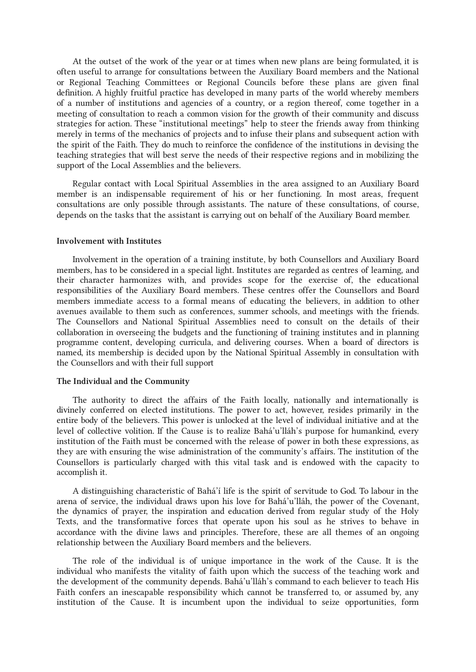At the outset of the work of the year or at times when new plans are being formulated, it is often useful to arrange for consultations between the Auxiliary Board members and the National or Regional Teaching Committees or Regional Councils before these plans are given final definition. A highly fruitful practice has developed in many parts of the world whereby members of a number of institutions and agencies of a country, or a region thereof, come together in a meeting of consultation to reach a common vision for the growth of their community and discuss strategies for action. These "institutional meetings" help to steer the friends away from thinking merely in terms of the mechanics of projects and to infuse their plans and subsequent action with the spirit of the Faith. They do much to reinforce the confidence of the institutions in devising the teaching strategies that will best serve the needs of their respective regions and in mobilizing the support of the Local Assemblies and the believers.

Regular contact with Local Spiritual Assemblies in the area assigned to an Auxiliary Board member is an indispensable requirement of his or her functioning. In most areas, frequent consultations are only possible through assistants. The nature of these consultations, of course, depends on the tasks that the assistant is carrying out on behalf of the Auxiliary Board member.

### <span id="page-10-0"></span>Involvement with Institutes

Involvement in the operation of a training institute, by both Counsellors and Auxiliary Board members, has to be considered in a special light. Institutes are regarded as centres of learning, and their character harmonizes with, and provides scope for the exercise of, the educational responsibilities of the Auxiliary Board members. These centres offer the Counsellors and Board members immediate access to a formal means of educating the believers, in addition to other avenues available to them such as conferences, summer schools, and meetings with the friends. The Counsellors and National Spiritual Assemblies need to consult on the details of their collaboration in overseeing the budgets and the functioning of training institutes and in planning programme content, developing curricula, and delivering courses. When a board of directors is named, its membership is decided upon by the National Spiritual Assembly in consultation with the Counsellors and with their full support

### <span id="page-10-1"></span>The Individual and the Community

The authority to direct the affairs of the Faith locally, nationally and internationally is divinely conferred on elected institutions. The power to act, however, resides primarily in the entire body of the believers. This power is unlocked at the level of individual initiative and at the level of collective volition. If the Cause is to realize Bahá'u'lláh's purpose for humankind, every institution of the Faith must be concerned with the release of power in both these expressions, as they are with ensuring the wise administration of the community's affairs. The institution of the Counsellors is particularly charged with this vital task and is endowed with the capacity to accomplish it.

A distinguishing characteristic of Bahá'í life is the spirit of servitude to God. To labour in the arena of service, the individual draws upon his love for Bahá'u'lláh, the power of the Covenant, the dynamics of prayer, the inspiration and education derived from regular study of the Holy Texts, and the transformative forces that operate upon his soul as he strives to behave in accordance with the divine laws and principles. Therefore, these are all themes of an ongoing relationship between the Auxiliary Board members and the believers.

The role of the individual is of unique importance in the work of the Cause. It is the individual who manifests the vitality of faith upon which the success of the teaching work and the development of the community depends. Bahá'u'lláh's command to each believer to teach His Faith confers an inescapable responsibility which cannot be transferred to, or assumed by, any institution of the Cause. It is incumbent upon the individual to seize opportunities, form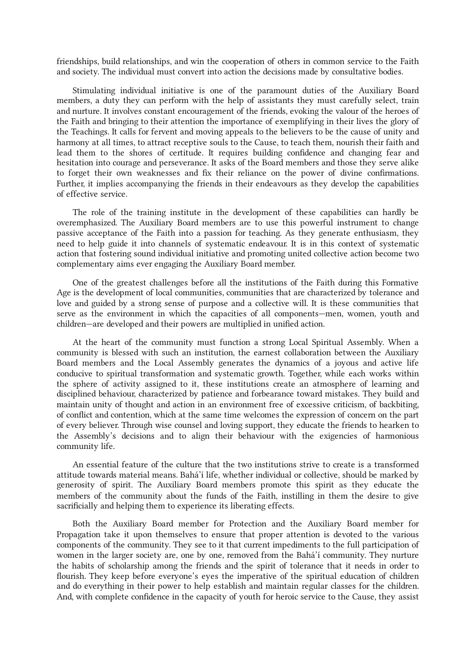friendships, build relationships, and win the cooperation of others in common service to the Faith and society. The individual must convert into action the decisions made by consultative bodies.

Stimulating individual initiative is one of the paramount duties of the Auxiliary Board members, a duty they can perform with the help of assistants they must carefully select, train and nurture. It involves constant encouragement of the friends, evoking the valour of the heroes of the Faith and bringing to their attention the importance of exemplifying in their lives the glory of the Teachings. It calls for fervent and moving appeals to the believers to be the cause of unity and harmony at all times, to attract receptive souls to the Cause, to teach them, nourish their faith and lead them to the shores of certitude. It requires building confidence and changing fear and hesitation into courage and perseverance. It asks of the Board members and those they serve alike to forget their own weaknesses and fix their reliance on the power of divine confirmations. Further, it implies accompanying the friends in their endeavours as they develop the capabilities of effective service.

The role of the training institute in the development of these capabilities can hardly be overemphasized. The Auxiliary Board members are to use this powerful instrument to change passive acceptance of the Faith into a passion for teaching. As they generate enthusiasm, they need to help guide it into channels of systematic endeavour. It is in this context of systematic action that fostering sound individual initiative and promoting united collective action become two complementary aims ever engaging the Auxiliary Board member.

One of the greatest challenges before all the institutions of the Faith during this Formative Age is the development of local communities, communities that are characterized by tolerance and love and guided by a strong sense of purpose and a collective will. It is these communities that serve as the environment in which the capacities of all components—men, women, youth and children—are developed and their powers are multiplied in unified action.

At the heart of the community must function a strong Local Spiritual Assembly. When a community is blessed with such an institution, the earnest collaboration between the Auxiliary Board members and the Local Assembly generates the dynamics of a joyous and active life conducive to spiritual transformation and systematic growth. Together, while each works within the sphere of activity assigned to it, these institutions create an atmosphere of learning and disciplined behaviour, characterized by patience and forbearance toward mistakes. They build and maintain unity of thought and action in an environment free of excessive criticism, of backbiting, of conflict and contention, which at the same time welcomes the expression of concern on the part of every believer. Through wise counsel and loving support, they educate the friends to hearken to the Assembly's decisions and to align their behaviour with the exigencies of harmonious community life.

An essential feature of the culture that the two institutions strive to create is a transformed attitude towards material means. Bahá'í life, whether individual or collective, should be marked by generosity of spirit. The Auxiliary Board members promote this spirit as they educate the members of the community about the funds of the Faith, instilling in them the desire to give sacrificially and helping them to experience its liberating effects.

Both the Auxiliary Board member for Protection and the Auxiliary Board member for Propagation take it upon themselves to ensure that proper attention is devoted to the various components of the community. They see to it that current impediments to the full participation of women in the larger society are, one by one, removed from the Bahá'í community. They nurture the habits of scholarship among the friends and the spirit of tolerance that it needs in order to flourish. They keep before everyone's eyes the imperative of the spiritual education of children and do everything in their power to help establish and maintain regular classes for the children. And, with complete confidence in the capacity of youth for heroic service to the Cause, they assist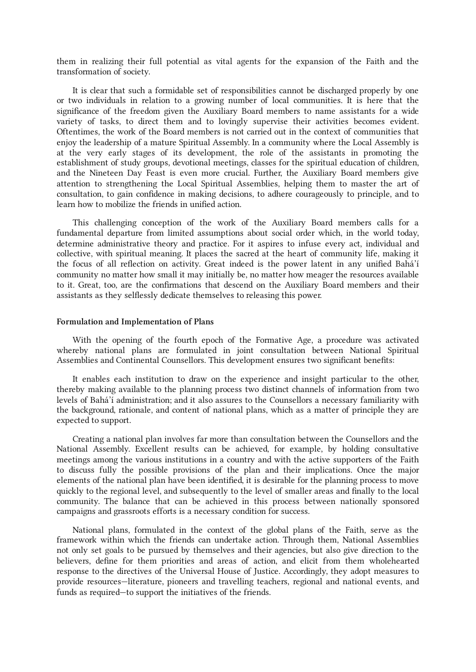them in realizing their full potential as vital agents for the expansion of the Faith and the transformation of society.

It is clear that such a formidable set of responsibilities cannot be discharged properly by one or two individuals in relation to a growing number of local communities. It is here that the significance of the freedom given the Auxiliary Board members to name assistants for a wide variety of tasks, to direct them and to lovingly supervise their activities becomes evident. Oftentimes, the work of the Board members is not carried out in the context of communities that enjoy the leadership of a mature Spiritual Assembly. In a community where the Local Assembly is at the very early stages of its development, the role of the assistants in promoting the establishment of study groups, devotional meetings, classes for the spiritual education of children, and the Nineteen Day Feast is even more crucial. Further, the Auxiliary Board members give attention to strengthening the Local Spiritual Assemblies, helping them to master the art of consultation, to gain confidence in making decisions, to adhere courageously to principle, and to learn how to mobilize the friends in unified action.

This challenging conception of the work of the Auxiliary Board members calls for a fundamental departure from limited assumptions about social order which, in the world today, determine administrative theory and practice. For it aspires to infuse every act, individual and collective, with spiritual meaning. It places the sacred at the heart of community life, making it the focus of all reflection on activity. Great indeed is the power latent in any unified Bahá'í community no matter how small it may initially be, no matter how meager the resources available to it. Great, too, are the confirmations that descend on the Auxiliary Board members and their assistants as they selflessly dedicate themselves to releasing this power.

### <span id="page-12-0"></span>Formulation and Implementation of Plans

With the opening of the fourth epoch of the Formative Age, a procedure was activated whereby national plans are formulated in joint consultation between National Spiritual Assemblies and Continental Counsellors. This development ensures two significant benefits:

It enables each institution to draw on the experience and insight particular to the other, thereby making available to the planning process two distinct channels of information from two levels of Bahá'í administration; and it also assures to the Counsellors a necessary familiarity with the background, rationale, and content of national plans, which as a matter of principle they are expected to support.

Creating a national plan involves far more than consultation between the Counsellors and the National Assembly. Excellent results can be achieved, for example, by holding consultative meetings among the various institutions in a country and with the active supporters of the Faith to discuss fully the possible provisions of the plan and their implications. Once the major elements of the national plan have been identified, it is desirable for the planning process to move quickly to the regional level, and subsequently to the level of smaller areas and finally to the local community. The balance that can be achieved in this process between nationally sponsored campaigns and grassroots efforts is a necessary condition for success.

National plans, formulated in the context of the global plans of the Faith, serve as the framework within which the friends can undertake action. Through them, National Assemblies not only set goals to be pursued by themselves and their agencies, but also give direction to the believers, define for them priorities and areas of action, and elicit from them wholehearted response to the directives of the Universal House of Justice. Accordingly, they adopt measures to provide resources—literature, pioneers and travelling teachers, regional and national events, and funds as required—to support the initiatives of the friends.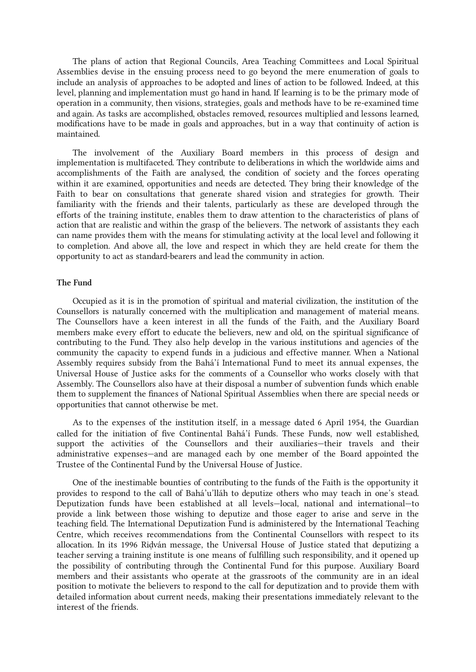The plans of action that Regional Councils, Area Teaching Committees and Local Spiritual Assemblies devise in the ensuing process need to go beyond the mere enumeration of goals to include an analysis of approaches to be adopted and lines of action to be followed. Indeed, at this level, planning and implementation must go hand in hand. If learning is to be the primary mode of operation in a community, then visions, strategies, goals and methods have to be re-examined time and again. As tasks are accomplished, obstacles removed, resources multiplied and lessons learned, modifications have to be made in goals and approaches, but in a way that continuity of action is maintained.

The involvement of the Auxiliary Board members in this process of design and implementation is multifaceted. They contribute to deliberations in which the worldwide aims and accomplishments of the Faith are analysed, the condition of society and the forces operating within it are examined, opportunities and needs are detected. They bring their knowledge of the Faith to bear on consultations that generate shared vision and strategies for growth. Their familiarity with the friends and their talents, particularly as these are developed through the efforts of the training institute, enables them to draw attention to the characteristics of plans of action that are realistic and within the grasp of the believers. The network of assistants they each can name provides them with the means for stimulating activity at the local level and following it to completion. And above all, the love and respect in which they are held create for them the opportunity to act as standard-bearers and lead the community in action.

#### <span id="page-13-0"></span>The Fund

Occupied as it is in the promotion of spiritual and material civilization, the institution of the Counsellors is naturally concerned with the multiplication and management of material means. The Counsellors have a keen interest in all the funds of the Faith, and the Auxiliary Board members make every effort to educate the believers, new and old, on the spiritual significance of contributing to the Fund. They also help develop in the various institutions and agencies of the community the capacity to expend funds in a judicious and effective manner. When a National Assembly requires subsidy from the Bahá'í International Fund to meet its annual expenses, the Universal House of Justice asks for the comments of a Counsellor who works closely with that Assembly. The Counsellors also have at their disposal a number of subvention funds which enable them to supplement the finances of National Spiritual Assemblies when there are special needs or opportunities that cannot otherwise be met.

As to the expenses of the institution itself, in a message dated 6 April 1954, the Guardian called for the initiation of five Continental Bahá'í Funds. These Funds, now well established, support the activities of the Counsellors and their auxiliaries—their travels and their administrative expenses—and are managed each by one member of the Board appointed the Trustee of the Continental Fund by the Universal House of Justice.

One of the inestimable bounties of contributing to the funds of the Faith is the opportunity it provides to respond to the call of Bahá'u'lláh to deputize others who may teach in one's stead. Deputization funds have been established at all levels—local, national and international—to provide a link between those wishing to deputize and those eager to arise and serve in the teaching field. The International Deputization Fund is administered by the International Teaching Centre, which receives recommendations from the Continental Counsellors with respect to its allocation. In its 1996 Riḍván message, the Universal House of Justice stated that deputizing a teacher serving a training institute is one means of fulfilling such responsibility, and it opened up the possibility of contributing through the Continental Fund for this purpose. Auxiliary Board members and their assistants who operate at the grassroots of the community are in an ideal position to motivate the believers to respond to the call for deputization and to provide them with detailed information about current needs, making their presentations immediately relevant to the interest of the friends.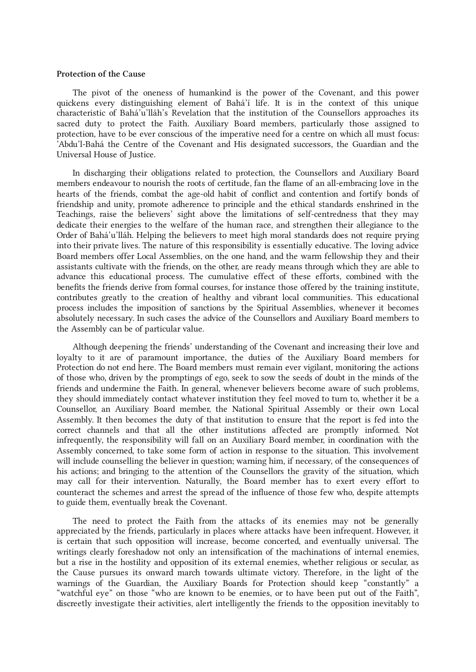### Protection of the Cause

The pivot of the oneness of humankind is the power of the Covenant, and this power quickens every distinguishing element of Bahá'í life. It is in the context of this unique characteristic of Bahá'u'lláh's Revelation that the institution of the Counsellors approaches its sacred duty to protect the Faith. Auxiliary Board members, particularly those assigned to protection, have to be ever conscious of the imperative need for a centre on which all must focus: 'Abdu'l-Bahá the Centre of the Covenant and His designated successors, the Guardian and the Universal House of Justice.

In discharging their obligations related to protection, the Counsellors and Auxiliary Board members endeavour to nourish the roots of certitude, fan the flame of an all-embracing love in the hearts of the friends, combat the age-old habit of conflict and contention and fortify bonds of friendship and unity, promote adherence to principle and the ethical standards enshrined in the Teachings, raise the believers' sight above the limitations of self-centredness that they may dedicate their energies to the welfare of the human race, and strengthen their allegiance to the Order of Bahá'u'lláh. Helping the believers to meet high moral standards does not require prying into their private lives. The nature of this responsibility is essentially educative. The loving advice Board members offer Local Assemblies, on the one hand, and the warm fellowship they and their assistants cultivate with the friends, on the other, are ready means through which they are able to advance this educational process. The cumulative effect of these efforts, combined with the benefits the friends derive from formal courses, for instance those offered by the training institute, contributes greatly to the creation of healthy and vibrant local communities. This educational process includes the imposition of sanctions by the Spiritual Assemblies, whenever it becomes absolutely necessary. In such cases the advice of the Counsellors and Auxiliary Board members to the Assembly can be of particular value.

Although deepening the friends' understanding of the Covenant and increasing their love and loyalty to it are of paramount importance, the duties of the Auxiliary Board members for Protection do not end here. The Board members must remain ever vigilant, monitoring the actions of those who, driven by the promptings of ego, seek to sow the seeds of doubt in the minds of the friends and undermine the Faith. In general, whenever believers become aware of such problems, they should immediately contact whatever institution they feel moved to turn to, whether it be a Counsellor, an Auxiliary Board member, the National Spiritual Assembly or their own Local Assembly. It then becomes the duty of that institution to ensure that the report is fed into the correct channels and that all the other institutions affected are promptly informed. Not infrequently, the responsibility will fall on an Auxiliary Board member, in coordination with the Assembly concerned, to take some form of action in response to the situation. This involvement will include counselling the believer in question; warning him, if necessary, of the consequences of his actions; and bringing to the attention of the Counsellors the gravity of the situation, which may call for their intervention. Naturally, the Board member has to exert every effort to counteract the schemes and arrest the spread of the influence of those few who, despite attempts to guide them, eventually break the Covenant.

The need to protect the Faith from the attacks of its enemies may not be generally appreciated by the friends, particularly in places where attacks have been infrequent. However, it is certain that such opposition will increase, become concerted, and eventually universal. The writings clearly foreshadow not only an intensification of the machinations of internal enemies, but a rise in the hostility and opposition of its external enemies, whether religious or secular, as the Cause pursues its onward march towards ultimate victory. Therefore, in the light of the warnings of the Guardian, the Auxiliary Boards for Protection should keep "constantly" a "watchful eye" on those "who are known to be enemies, or to have been put out of the Faith", discreetly investigate their activities, alert intelligently the friends to the opposition inevitably to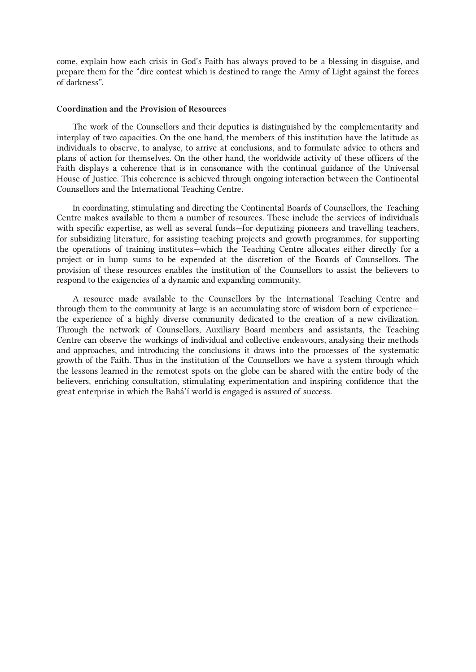come, explain how each crisis in God's Faith has always proved to be a blessing in disguise, and prepare them for the "dire contest which is destined to range the Army of Light against the forces of darkness".

### <span id="page-15-0"></span>Coordination and the Provision of Resources

The work of the Counsellors and their deputies is distinguished by the complementarity and interplay of two capacities. On the one hand, the members of this institution have the latitude as individuals to observe, to analyse, to arrive at conclusions, and to formulate advice to others and plans of action for themselves. On the other hand, the worldwide activity of these officers of the Faith displays a coherence that is in consonance with the continual guidance of the Universal House of Justice. This coherence is achieved through ongoing interaction between the Continental Counsellors and the International Teaching Centre.

In coordinating, stimulating and directing the Continental Boards of Counsellors, the Teaching Centre makes available to them a number of resources. These include the services of individuals with specific expertise, as well as several funds—for deputizing pioneers and travelling teachers, for subsidizing literature, for assisting teaching projects and growth programmes, for supporting the operations of training institutes—which the Teaching Centre allocates either directly for a project or in lump sums to be expended at the discretion of the Boards of Counsellors. The provision of these resources enables the institution of the Counsellors to assist the believers to respond to the exigencies of a dynamic and expanding community.

A resource made available to the Counsellors by the International Teaching Centre and through them to the community at large is an accumulating store of wisdom born of experience the experience of a highly diverse community dedicated to the creation of a new civilization. Through the network of Counsellors, Auxiliary Board members and assistants, the Teaching Centre can observe the workings of individual and collective endeavours, analysing their methods and approaches, and introducing the conclusions it draws into the processes of the systematic growth of the Faith. Thus in the institution of the Counsellors we have a system through which the lessons learned in the remotest spots on the globe can be shared with the entire body of the believers, enriching consultation, stimulating experimentation and inspiring confidence that the great enterprise in which the Bahá'í world is engaged is assured of success.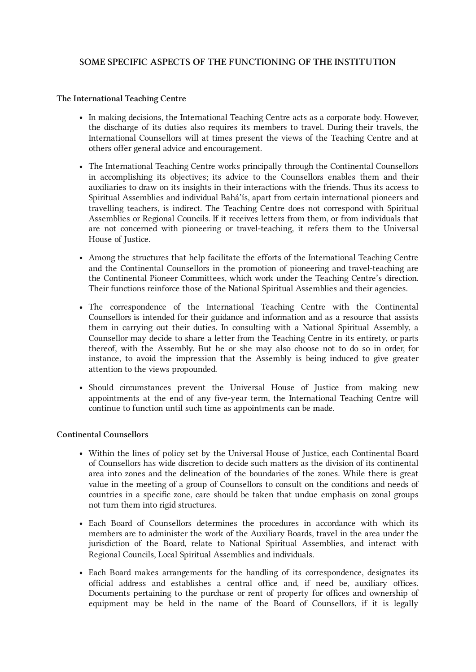# <span id="page-16-0"></span>SOME SPECIFIC ASPECTS OF THE FUNCTIONING OF THE INSTITUTION

# <span id="page-16-1"></span>The International Teaching Centre

- In making decisions, the International Teaching Centre acts as a corporate body. However, the discharge of its duties also requires its members to travel. During their travels, the International Counsellors will at times present the views of the Teaching Centre and at others offer general advice and encouragement.
- The International Teaching Centre works principally through the Continental Counsellors in accomplishing its objectives; its advice to the Counsellors enables them and their auxiliaries to draw on its insights in their interactions with the friends. Thus its access to Spiritual Assemblies and individual Bahá'ís, apart from certain international pioneers and travelling teachers, is indirect. The Teaching Centre does not correspond with Spiritual Assemblies or Regional Councils. If it receives letters from them, or from individuals that are not concerned with pioneering or travel-teaching, it refers them to the Universal House of Justice.
- Among the structures that help facilitate the efforts of the International Teaching Centre and the Continental Counsellors in the promotion of pioneering and travel-teaching are the Continental Pioneer Committees, which work under the Teaching Centre's direction. Their functions reinforce those of the National Spiritual Assemblies and their agencies.
- The correspondence of the International Teaching Centre with the Continental Counsellors is intended for their guidance and information and as a resource that assists them in carrying out their duties. In consulting with a National Spiritual Assembly, a Counsellor may decide to share a letter from the Teaching Centre in its entirety, or parts thereof, with the Assembly. But he or she may also choose not to do so in order, for instance, to avoid the impression that the Assembly is being induced to give greater attention to the views propounded.
- Should circumstances prevent the Universal House of Justice from making new appointments at the end of any five-year term, the International Teaching Centre will continue to function until such time as appointments can be made.

# <span id="page-16-2"></span>Continental Counsellors

- Within the lines of policy set by the Universal House of Justice, each Continental Board of Counsellors has wide discretion to decide such matters as the division of its continental area into zones and the delineation of the boundaries of the zones. While there is great value in the meeting of a group of Counsellors to consult on the conditions and needs of countries in a specific zone, care should be taken that undue emphasis on zonal groups not turn them into rigid structures.
- Each Board of Counsellors determines the procedures in accordance with which its members are to administer the work of the Auxiliary Boards, travel in the area under the jurisdiction of the Board, relate to National Spiritual Assemblies, and interact with Regional Councils, Local Spiritual Assemblies and individuals.
- Each Board makes arrangements for the handling of its correspondence, designates its official address and establishes a central office and, if need be, auxiliary offices. Documents pertaining to the purchase or rent of property for offices and ownership of equipment may be held in the name of the Board of Counsellors, if it is legally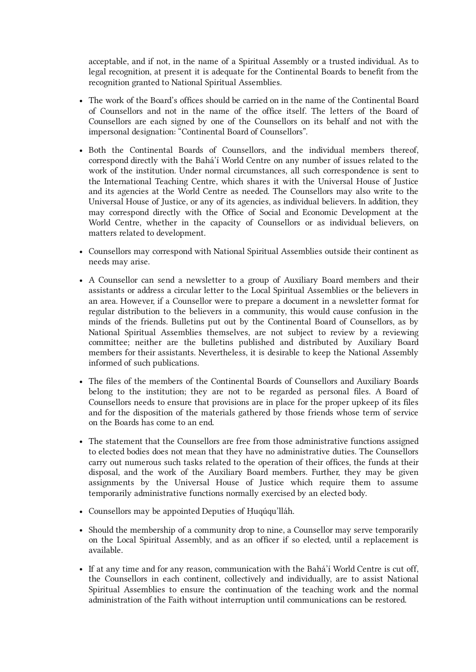acceptable, and if not, in the name of a Spiritual Assembly or a trusted individual. As to legal recognition, at present it is adequate for the Continental Boards to benefit from the recognition granted to National Spiritual Assemblies.

- The work of the Board's offices should be carried on in the name of the Continental Board of Counsellors and not in the name of the office itself. The letters of the Board of Counsellors are each signed by one of the Counsellors on its behalf and not with the impersonal designation: "Continental Board of Counsellors".
- Both the Continental Boards of Counsellors, and the individual members thereof, correspond directly with the Bahá'í World Centre on any number of issues related to the work of the institution. Under normal circumstances, all such correspondence is sent to the International Teaching Centre, which shares it with the Universal House of Justice and its agencies at the World Centre as needed. The Counsellors may also write to the Universal House of Justice, or any of its agencies, as individual believers. In addition, they may correspond directly with the Office of Social and Economic Development at the World Centre, whether in the capacity of Counsellors or as individual believers, on matters related to development.
- Counsellors may correspond with National Spiritual Assemblies outside their continent as needs may arise.
- A Counsellor can send a newsletter to a group of Auxiliary Board members and their assistants or address a circular letter to the Local Spiritual Assemblies or the believers in an area. However, if a Counsellor were to prepare a document in a newsletter format for regular distribution to the believers in a community, this would cause confusion in the minds of the friends. Bulletins put out by the Continental Board of Counsellors, as by National Spiritual Assemblies themselves, are not subject to review by a reviewing committee; neither are the bulletins published and distributed by Auxiliary Board members for their assistants. Nevertheless, it is desirable to keep the National Assembly informed of such publications.
- The files of the members of the Continental Boards of Counsellors and Auxiliary Boards belong to the institution; they are not to be regarded as personal files. A Board of Counsellors needs to ensure that provisions are in place for the proper upkeep of its files and for the disposition of the materials gathered by those friends whose term of service on the Boards has come to an end.
- The statement that the Counsellors are free from those administrative functions assigned to elected bodies does not mean that they have no administrative duties. The Counsellors carry out numerous such tasks related to the operation of their offices, the funds at their disposal, and the work of the Auxiliary Board members. Further, they may be given assignments by the Universal House of Justice which require them to assume temporarily administrative functions normally exercised by an elected body.
- Counsellors may be appointed Deputies of Ḥuqúqu'lláh.
- Should the membership of a community drop to nine, a Counsellor may serve temporarily on the Local Spiritual Assembly, and as an officer if so elected, until a replacement is available.
- If at any time and for any reason, communication with the Bahá'í World Centre is cut off, the Counsellors in each continent, collectively and individually, are to assist National Spiritual Assemblies to ensure the continuation of the teaching work and the normal administration of the Faith without interruption until communications can be restored.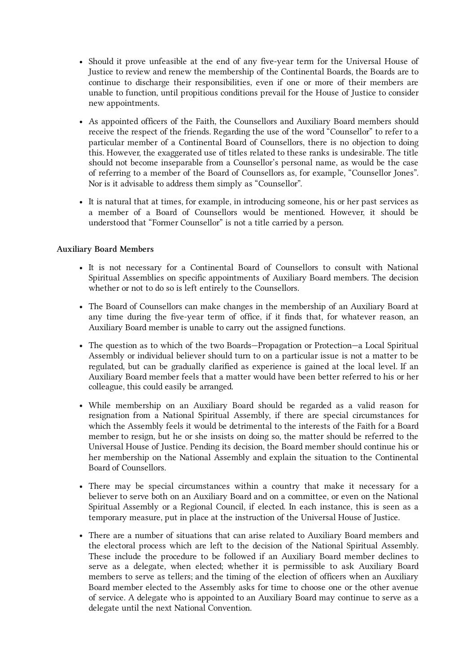- Should it prove unfeasible at the end of any five-year term for the Universal House of Justice to review and renew the membership of the Continental Boards, the Boards are to continue to discharge their responsibilities, even if one or more of their members are unable to function, until propitious conditions prevail for the House of Justice to consider new appointments.
- As appointed officers of the Faith, the Counsellors and Auxiliary Board members should receive the respect of the friends. Regarding the use of the word "Counsellor" to refer to a particular member of a Continental Board of Counsellors, there is no objection to doing this. However, the exaggerated use of titles related to these ranks is undesirable. The title should not become inseparable from a Counsellor's personal name, as would be the case of referring to a member of the Board of Counsellors as, for example, "Counsellor Jones". Nor is it advisable to address them simply as "Counsellor".
- It is natural that at times, for example, in introducing someone, his or her past services as a member of a Board of Counsellors would be mentioned. However, it should be understood that "Former Counsellor" is not a title carried by a person.

# <span id="page-18-0"></span>Auxiliary Board Members

- It is not necessary for a Continental Board of Counsellors to consult with National Spiritual Assemblies on specific appointments of Auxiliary Board members. The decision whether or not to do so is left entirely to the Counsellors.
- The Board of Counsellors can make changes in the membership of an Auxiliary Board at any time during the five-year term of office, if it finds that, for whatever reason, an Auxiliary Board member is unable to carry out the assigned functions.
- The question as to which of the two Boards—Propagation or Protection—a Local Spiritual Assembly or individual believer should turn to on a particular issue is not a matter to be regulated, but can be gradually clarified as experience is gained at the local level. If an Auxiliary Board member feels that a matter would have been better referred to his or her colleague, this could easily be arranged.
- While membership on an Auxiliary Board should be regarded as a valid reason for resignation from a National Spiritual Assembly, if there are special circumstances for which the Assembly feels it would be detrimental to the interests of the Faith for a Board member to resign, but he or she insists on doing so, the matter should be referred to the Universal House of Justice. Pending its decision, the Board member should continue his or her membership on the National Assembly and explain the situation to the Continental Board of Counsellors.
- There may be special circumstances within a country that make it necessary for a believer to serve both on an Auxiliary Board and on a committee, or even on the National Spiritual Assembly or a Regional Council, if elected. In each instance, this is seen as a temporary measure, put in place at the instruction of the Universal House of Justice.
- There are a number of situations that can arise related to Auxiliary Board members and the electoral process which are left to the decision of the National Spiritual Assembly. These include the procedure to be followed if an Auxiliary Board member declines to serve as a delegate, when elected; whether it is permissible to ask Auxiliary Board members to serve as tellers; and the timing of the election of officers when an Auxiliary Board member elected to the Assembly asks for time to choose one or the other avenue of service. A delegate who is appointed to an Auxiliary Board may continue to serve as a delegate until the next National Convention.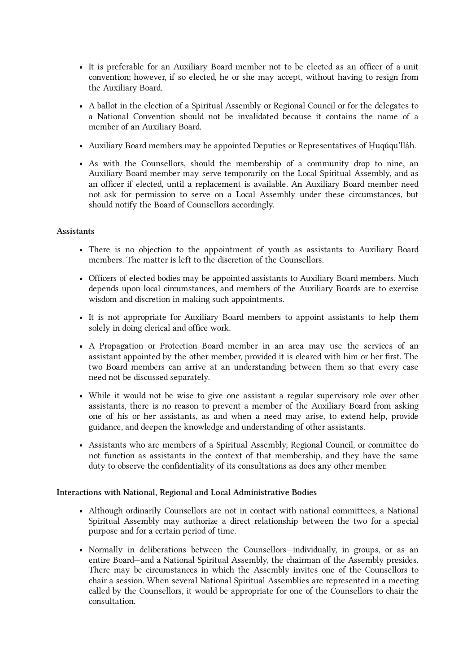- It is preferable for an Auxiliary Board member not to be elected as an officer of a unit convention; however, if so elected, he or she may accept, without having to resign from the Auxiliary Board.
- A ballot in the election of a Spiritual Assembly or Regional Council or for the delegates to a National Convention should not be invalidated because it contains the name of a member of an Auxiliary Board.
- Auxiliary Board members may be appointed Deputies or Representatives of Ḥuqúqu'lláh.
- As with the Counsellors, should the membership of a community drop to nine, an Auxiliary Board member may serve temporarily on the Local Spiritual Assembly, and as an officer if elected, until a replacement is available. An Auxiliary Board member need not ask for permission to serve on a Local Assembly under these circumstances, but should notify the Board of Counsellors accordingly.

# <span id="page-19-0"></span>Assistants

- There is no objection to the appointment of youth as assistants to Auxiliary Board members. The matter is left to the discretion of the Counsellors.
- Officers of elected bodies may be appointed assistants to Auxiliary Board members. Much depends upon local circumstances, and members of the Auxiliary Boards are to exercise wisdom and discretion in making such appointments.
- It is not appropriate for Auxiliary Board members to appoint assistants to help them solely in doing clerical and office work.
- A Propagation or Protection Board member in an area may use the services of an assistant appointed by the other member, provided it is cleared with him or her first. The two Board members can arrive at an understanding between them so that every case need not be discussed separately.
- While it would not be wise to give one assistant a regular supervisory role over other assistants, there is no reason to prevent a member of the Auxiliary Board from asking one of his or her assistants, as and when a need may arise, to extend help, provide guidance, and deepen the knowledge and understanding of other assistants.
- Assistants who are members of a Spiritual Assembly, Regional Council, or committee do not function as assistants in the context of that membership, and they have the same duty to observe the confidentiality of its consultations as does any other member.

# <span id="page-19-1"></span>Interactions with National, Regional and Local Administrative Bodies

- Although ordinarily Counsellors are not in contact with national committees, a National Spiritual Assembly may authorize a direct relationship between the two for a special purpose and for a certain period of time.
- Normally in deliberations between the Counsellors—individually, in groups, or as an entire Board—and a National Spiritual Assembly, the chairman of the Assembly presides. There may be circumstances in which the Assembly invites one of the Counsellors to chair a session. When several National Spiritual Assemblies are represented in a meeting called by the Counsellors, it would be appropriate for one of the Counsellors to chair the consultation.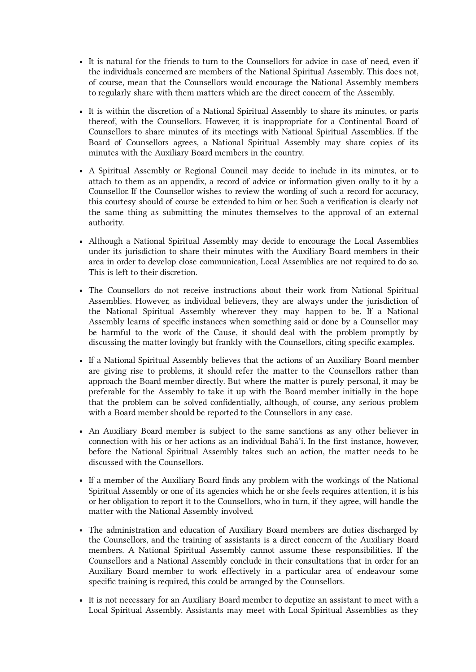- It is natural for the friends to turn to the Counsellors for advice in case of need, even if the individuals concerned are members of the National Spiritual Assembly. This does not, of course, mean that the Counsellors would encourage the National Assembly members to regularly share with them matters which are the direct concern of the Assembly.
- It is within the discretion of a National Spiritual Assembly to share its minutes, or parts thereof, with the Counsellors. However, it is inappropriate for a Continental Board of Counsellors to share minutes of its meetings with National Spiritual Assemblies. If the Board of Counsellors agrees, a National Spiritual Assembly may share copies of its minutes with the Auxiliary Board members in the country.
- A Spiritual Assembly or Regional Council may decide to include in its minutes, or to attach to them as an appendix, a record of advice or information given orally to it by a Counsellor. If the Counsellor wishes to review the wording of such a record for accuracy, this courtesy should of course be extended to him or her. Such a verification is clearly not the same thing as submitting the minutes themselves to the approval of an external authority.
- Although a National Spiritual Assembly may decide to encourage the Local Assemblies under its jurisdiction to share their minutes with the Auxiliary Board members in their area in order to develop close communication, Local Assemblies are not required to do so. This is left to their discretion.
- The Counsellors do not receive instructions about their work from National Spiritual Assemblies. However, as individual believers, they are always under the jurisdiction of the National Spiritual Assembly wherever they may happen to be. If a National Assembly learns of specific instances when something said or done by a Counsellor may be harmful to the work of the Cause, it should deal with the problem promptly by discussing the matter lovingly but frankly with the Counsellors, citing specific examples.
- If a National Spiritual Assembly believes that the actions of an Auxiliary Board member are giving rise to problems, it should refer the matter to the Counsellors rather than approach the Board member directly. But where the matter is purely personal, it may be preferable for the Assembly to take it up with the Board member initially in the hope that the problem can be solved confidentially, although, of course, any serious problem with a Board member should be reported to the Counsellors in any case.
- An Auxiliary Board member is subject to the same sanctions as any other believer in connection with his or her actions as an individual Bahá'í. In the first instance, however, before the National Spiritual Assembly takes such an action, the matter needs to be discussed with the Counsellors.
- If a member of the Auxiliary Board finds any problem with the workings of the National Spiritual Assembly or one of its agencies which he or she feels requires attention, it is his or her obligation to report it to the Counsellors, who in turn, if they agree, will handle the matter with the National Assembly involved.
- The administration and education of Auxiliary Board members are duties discharged by the Counsellors, and the training of assistants is a direct concern of the Auxiliary Board members. A National Spiritual Assembly cannot assume these responsibilities. If the Counsellors and a National Assembly conclude in their consultations that in order for an Auxiliary Board member to work effectively in a particular area of endeavour some specific training is required, this could be arranged by the Counsellors.
- It is not necessary for an Auxiliary Board member to deputize an assistant to meet with a Local Spiritual Assembly. Assistants may meet with Local Spiritual Assemblies as they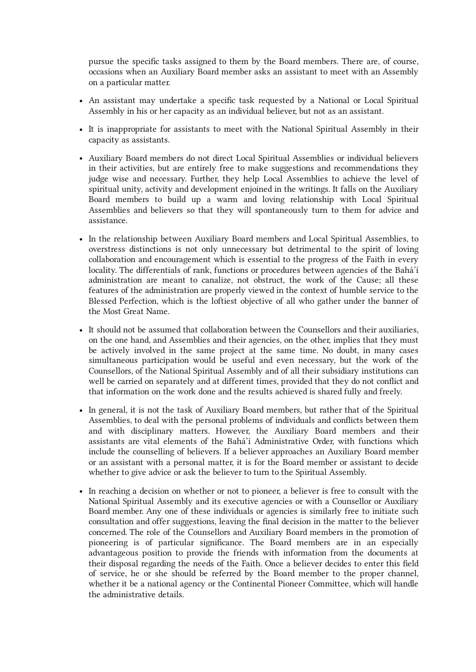pursue the specific tasks assigned to them by the Board members. There are, of course, occasions when an Auxiliary Board member asks an assistant to meet with an Assembly on a particular matter.

- An assistant may undertake a specific task requested by a National or Local Spiritual Assembly in his or her capacity as an individual believer, but not as an assistant.
- It is inappropriate for assistants to meet with the National Spiritual Assembly in their capacity as assistants.
- Auxiliary Board members do not direct Local Spiritual Assemblies or individual believers in their activities, but are entirely free to make suggestions and recommendations they judge wise and necessary. Further, they help Local Assemblies to achieve the level of spiritual unity, activity and development enjoined in the writings. It falls on the Auxiliary Board members to build up a warm and loving relationship with Local Spiritual Assemblies and believers so that they will spontaneously turn to them for advice and assistance.
- In the relationship between Auxiliary Board members and Local Spiritual Assemblies, to overstress distinctions is not only unnecessary but detrimental to the spirit of loving collaboration and encouragement which is essential to the progress of the Faith in every locality. The differentials of rank, functions or procedures between agencies of the Bahá'í administration are meant to canalize, not obstruct, the work of the Cause; all these features of the administration are properly viewed in the context of humble service to the Blessed Perfection, which is the loftiest objective of all who gather under the banner of the Most Great Name.
- It should not be assumed that collaboration between the Counsellors and their auxiliaries, on the one hand, and Assemblies and their agencies, on the other, implies that they must be actively involved in the same project at the same time. No doubt, in many cases simultaneous participation would be useful and even necessary, but the work of the Counsellors, of the National Spiritual Assembly and of all their subsidiary institutions can well be carried on separately and at different times, provided that they do not conflict and that information on the work done and the results achieved is shared fully and freely.
- In general, it is not the task of Auxiliary Board members, but rather that of the Spiritual Assemblies, to deal with the personal problems of individuals and conflicts between them and with disciplinary matters. However, the Auxiliary Board members and their assistants are vital elements of the Bahá'í Administrative Order, with functions which include the counselling of believers. If a believer approaches an Auxiliary Board member or an assistant with a personal matter, it is for the Board member or assistant to decide whether to give advice or ask the believer to turn to the Spiritual Assembly.
- In reaching a decision on whether or not to pioneer, a believer is free to consult with the National Spiritual Assembly and its executive agencies or with a Counsellor or Auxiliary Board member. Any one of these individuals or agencies is similarly free to initiate such consultation and offer suggestions, leaving the final decision in the matter to the believer concerned. The role of the Counsellors and Auxiliary Board members in the promotion of pioneering is of particular significance. The Board members are in an especially advantageous position to provide the friends with information from the documents at their disposal regarding the needs of the Faith. Once a believer decides to enter this field of service, he or she should be referred by the Board member to the proper channel, whether it be a national agency or the Continental Pioneer Committee, which will handle the administrative details.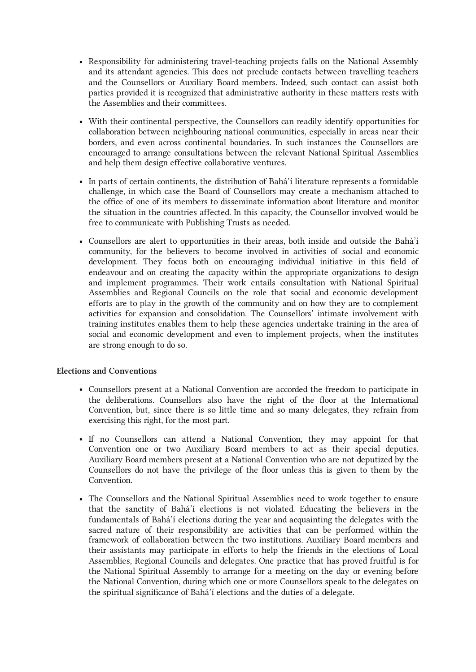- Responsibility for administering travel-teaching projects falls on the National Assembly and its attendant agencies. This does not preclude contacts between travelling teachers and the Counsellors or Auxiliary Board members. Indeed, such contact can assist both parties provided it is recognized that administrative authority in these matters rests with the Assemblies and their committees.
- With their continental perspective, the Counsellors can readily identify opportunities for collaboration between neighbouring national communities, especially in areas near their borders, and even across continental boundaries. In such instances the Counsellors are encouraged to arrange consultations between the relevant National Spiritual Assemblies and help them design effective collaborative ventures.
- In parts of certain continents, the distribution of Bahá'í literature represents a formidable challenge, in which case the Board of Counsellors may create a mechanism attached to the office of one of its members to disseminate information about literature and monitor the situation in the countries affected. In this capacity, the Counsellor involved would be free to communicate with Publishing Trusts as needed.
- Counsellors are alert to opportunities in their areas, both inside and outside the Bahá'í community, for the believers to become involved in activities of social and economic development. They focus both on encouraging individual initiative in this field of endeavour and on creating the capacity within the appropriate organizations to design and implement programmes. Their work entails consultation with National Spiritual Assemblies and Regional Councils on the role that social and economic development efforts are to play in the growth of the community and on how they are to complement activities for expansion and consolidation. The Counsellors' intimate involvement with training institutes enables them to help these agencies undertake training in the area of social and economic development and even to implement projects, when the institutes are strong enough to do so.

# <span id="page-22-0"></span>Elections and Conventions

- Counsellors present at a National Convention are accorded the freedom to participate in the deliberations. Counsellors also have the right of the floor at the International Convention, but, since there is so little time and so many delegates, they refrain from exercising this right, for the most part.
- If no Counsellors can attend a National Convention, they may appoint for that Convention one or two Auxiliary Board members to act as their special deputies. Auxiliary Board members present at a National Convention who are not deputized by the Counsellors do not have the privilege of the floor unless this is given to them by the Convention.
- The Counsellors and the National Spiritual Assemblies need to work together to ensure that the sanctity of Bahá'í elections is not violated. Educating the believers in the fundamentals of Bahá'í elections during the year and acquainting the delegates with the sacred nature of their responsibility are activities that can be performed within the framework of collaboration between the two institutions. Auxiliary Board members and their assistants may participate in efforts to help the friends in the elections of Local Assemblies, Regional Councils and delegates. One practice that has proved fruitful is for the National Spiritual Assembly to arrange for a meeting on the day or evening before the National Convention, during which one or more Counsellors speak to the delegates on the spiritual significance of Bahá'í elections and the duties of a delegate.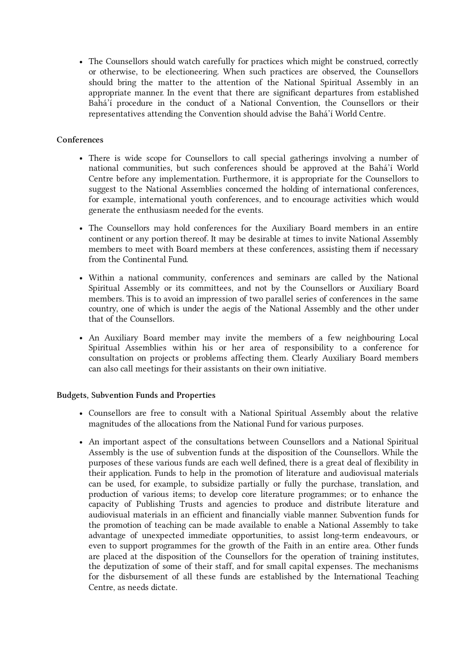The Counsellors should watch carefully for practices which might be construed, correctly or otherwise, to be electioneering. When such practices are observed, the Counsellors should bring the matter to the attention of the National Spiritual Assembly in an appropriate manner. In the event that there are significant departures from established Bahá'í procedure in the conduct of a National Convention, the Counsellors or their representatives attending the Convention should advise the Bahá'í World Centre.

# <span id="page-23-0"></span>**Conferences**

- There is wide scope for Counsellors to call special gatherings involving a number of national communities, but such conferences should be approved at the Bahá'í World Centre before any implementation. Furthermore, it is appropriate for the Counsellors to suggest to the National Assemblies concerned the holding of international conferences, for example, international youth conferences, and to encourage activities which would generate the enthusiasm needed for the events.
- The Counsellors may hold conferences for the Auxiliary Board members in an entire continent or any portion thereof. It may be desirable at times to invite National Assembly members to meet with Board members at these conferences, assisting them if necessary from the Continental Fund.
- Within a national community, conferences and seminars are called by the National Spiritual Assembly or its committees, and not by the Counsellors or Auxiliary Board members. This is to avoid an impression of two parallel series of conferences in the same country, one of which is under the aegis of the National Assembly and the other under that of the Counsellors.
- An Auxiliary Board member may invite the members of a few neighbouring Local Spiritual Assemblies within his or her area of responsibility to a conference for consultation on projects or problems affecting them. Clearly Auxiliary Board members can also call meetings for their assistants on their own initiative.

# <span id="page-23-1"></span>Budgets, Subvention Funds and Properties

- Counsellors are free to consult with a National Spiritual Assembly about the relative magnitudes of the allocations from the National Fund for various purposes.
- An important aspect of the consultations between Counsellors and a National Spiritual Assembly is the use of subvention funds at the disposition of the Counsellors. While the purposes of these various funds are each well defined, there is a great deal of flexibility in their application. Funds to help in the promotion of literature and audiovisual materials can be used, for example, to subsidize partially or fully the purchase, translation, and production of various items; to develop core literature programmes; or to enhance the capacity of Publishing Trusts and agencies to produce and distribute literature and audiovisual materials in an efficient and financially viable manner. Subvention funds for the promotion of teaching can be made available to enable a National Assembly to take advantage of unexpected immediate opportunities, to assist long-term endeavours, or even to support programmes for the growth of the Faith in an entire area. Other funds are placed at the disposition of the Counsellors for the operation of training institutes, the deputization of some of their staff, and for small capital expenses. The mechanisms for the disbursement of all these funds are established by the International Teaching Centre, as needs dictate.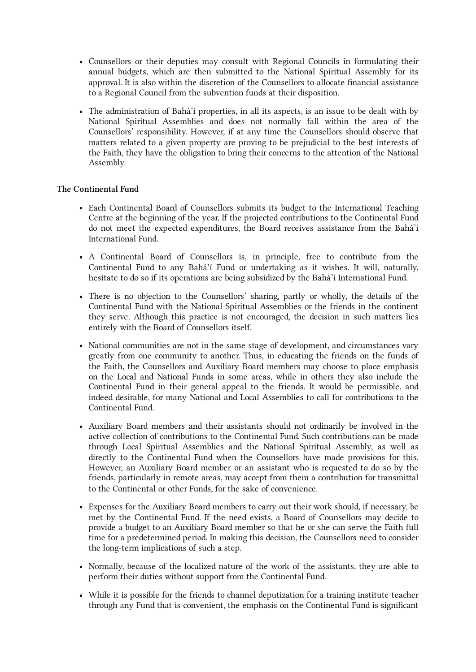- Counsellors or their deputies may consult with Regional Councils in formulating their annual budgets, which are then submitted to the National Spiritual Assembly for its approval. It is also within the discretion of the Counsellors to allocate financial assistance to a Regional Council from the subvention funds at their disposition.
- The administration of Bahá'í properties, in all its aspects, is an issue to be dealt with by National Spiritual Assemblies and does not normally fall within the area of the Counsellors' responsibility. However, if at any time the Counsellors should observe that matters related to a given property are proving to be prejudicial to the best interests of the Faith, they have the obligation to bring their concerns to the attention of the National Assembly.

# <span id="page-24-0"></span>The Continental Fund

- Each Continental Board of Counsellors submits its budget to the International Teaching Centre at the beginning of the year. If the projected contributions to the Continental Fund do not meet the expected expenditures, the Board receives assistance from the Bahá'í International Fund.
- A Continental Board of Counsellors is, in principle, free to contribute from the Continental Fund to any Bahá'í Fund or undertaking as it wishes. It will, naturally, hesitate to do so if its operations are being subsidized by the Bahá'í International Fund.
- There is no objection to the Counsellors' sharing, partly or wholly, the details of the Continental Fund with the National Spiritual Assemblies or the friends in the continent they serve. Although this practice is not encouraged, the decision in such matters lies entirely with the Board of Counsellors itself.
- National communities are not in the same stage of development, and circumstances vary greatly from one community to another. Thus, in educating the friends on the funds of the Faith, the Counsellors and Auxiliary Board members may choose to place emphasis on the Local and National Funds in some areas, while in others they also include the Continental Fund in their general appeal to the friends. It would be permissible, and indeed desirable, for many National and Local Assemblies to call for contributions to the Continental Fund.
- Auxiliary Board members and their assistants should not ordinarily be involved in the active collection of contributions to the Continental Fund. Such contributions can be made through Local Spiritual Assemblies and the National Spiritual Assembly, as well as directly to the Continental Fund when the Counsellors have made provisions for this. However, an Auxiliary Board member or an assistant who is requested to do so by the friends, particularly in remote areas, may accept from them a contribution for transmittal to the Continental or other Funds, for the sake of convenience.
- Expenses for the Auxiliary Board members to carry out their work should, if necessary, be met by the Continental Fund. If the need exists, a Board of Counsellors may decide to provide a budget to an Auxiliary Board member so that he or she can serve the Faith full time for a predetermined period. In making this decision, the Counsellors need to consider the long-term implications of such a step.
- Normally, because of the localized nature of the work of the assistants, they are able to perform their duties without support from the Continental Fund.
- While it is possible for the friends to channel deputization for a training institute teacher through any Fund that is convenient, the emphasis on the Continental Fund is significant